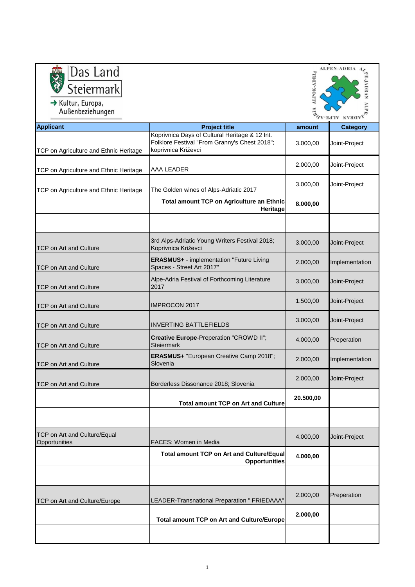|                                               |                                                                                                                                                                                                                                                                                                                                                                                                                                                                                                                                                                                                                                                          | <b>ALPEN-ADRIA</b>                                                                                                 |
|-----------------------------------------------|----------------------------------------------------------------------------------------------------------------------------------------------------------------------------------------------------------------------------------------------------------------------------------------------------------------------------------------------------------------------------------------------------------------------------------------------------------------------------------------------------------------------------------------------------------------------------------------------------------------------------------------------------------|--------------------------------------------------------------------------------------------------------------------|
|                                               |                                                                                                                                                                                                                                                                                                                                                                                                                                                                                                                                                                                                                                                          |                                                                                                                    |
|                                               |                                                                                                                                                                                                                                                                                                                                                                                                                                                                                                                                                                                                                                                          | <b>E-JADRAN</b>                                                                                                    |
|                                               |                                                                                                                                                                                                                                                                                                                                                                                                                                                                                                                                                                                                                                                          |                                                                                                                    |
|                                               |                                                                                                                                                                                                                                                                                                                                                                                                                                                                                                                                                                                                                                                          |                                                                                                                    |
| <b>Project title</b>                          | amount                                                                                                                                                                                                                                                                                                                                                                                                                                                                                                                                                                                                                                                   | <b>Category</b>                                                                                                    |
|                                               |                                                                                                                                                                                                                                                                                                                                                                                                                                                                                                                                                                                                                                                          | Joint-Project                                                                                                      |
| koprivnica Križevci                           |                                                                                                                                                                                                                                                                                                                                                                                                                                                                                                                                                                                                                                                          |                                                                                                                    |
|                                               | 2.000,00                                                                                                                                                                                                                                                                                                                                                                                                                                                                                                                                                                                                                                                 | Joint-Project                                                                                                      |
|                                               |                                                                                                                                                                                                                                                                                                                                                                                                                                                                                                                                                                                                                                                          |                                                                                                                    |
|                                               | 3.000,00                                                                                                                                                                                                                                                                                                                                                                                                                                                                                                                                                                                                                                                 | Joint-Project                                                                                                      |
|                                               |                                                                                                                                                                                                                                                                                                                                                                                                                                                                                                                                                                                                                                                          |                                                                                                                    |
| Heritage                                      |                                                                                                                                                                                                                                                                                                                                                                                                                                                                                                                                                                                                                                                          |                                                                                                                    |
|                                               |                                                                                                                                                                                                                                                                                                                                                                                                                                                                                                                                                                                                                                                          |                                                                                                                    |
|                                               |                                                                                                                                                                                                                                                                                                                                                                                                                                                                                                                                                                                                                                                          |                                                                                                                    |
| Koprivnica Križevci                           |                                                                                                                                                                                                                                                                                                                                                                                                                                                                                                                                                                                                                                                          | Joint-Project                                                                                                      |
| ERASMUS+ - implementation "Future Living      |                                                                                                                                                                                                                                                                                                                                                                                                                                                                                                                                                                                                                                                          | Implementation                                                                                                     |
| Spaces - Street Art 2017"                     |                                                                                                                                                                                                                                                                                                                                                                                                                                                                                                                                                                                                                                                          |                                                                                                                    |
| Alpe-Adria Festival of Forthcoming Literature | 3.000,00                                                                                                                                                                                                                                                                                                                                                                                                                                                                                                                                                                                                                                                 | Joint-Project                                                                                                      |
|                                               |                                                                                                                                                                                                                                                                                                                                                                                                                                                                                                                                                                                                                                                          |                                                                                                                    |
| <b>IMPROCON 2017</b>                          |                                                                                                                                                                                                                                                                                                                                                                                                                                                                                                                                                                                                                                                          | Joint-Project                                                                                                      |
|                                               |                                                                                                                                                                                                                                                                                                                                                                                                                                                                                                                                                                                                                                                          | Joint-Project                                                                                                      |
|                                               |                                                                                                                                                                                                                                                                                                                                                                                                                                                                                                                                                                                                                                                          |                                                                                                                    |
| Creative Europe-Preperation "CROWD II";       | 4.000,00                                                                                                                                                                                                                                                                                                                                                                                                                                                                                                                                                                                                                                                 | Preperation                                                                                                        |
|                                               |                                                                                                                                                                                                                                                                                                                                                                                                                                                                                                                                                                                                                                                          |                                                                                                                    |
| Slovenia                                      |                                                                                                                                                                                                                                                                                                                                                                                                                                                                                                                                                                                                                                                          | Implementation                                                                                                     |
|                                               | 2.000,00                                                                                                                                                                                                                                                                                                                                                                                                                                                                                                                                                                                                                                                 | Joint-Project                                                                                                      |
|                                               |                                                                                                                                                                                                                                                                                                                                                                                                                                                                                                                                                                                                                                                          |                                                                                                                    |
|                                               | 20.500,00                                                                                                                                                                                                                                                                                                                                                                                                                                                                                                                                                                                                                                                |                                                                                                                    |
|                                               |                                                                                                                                                                                                                                                                                                                                                                                                                                                                                                                                                                                                                                                          |                                                                                                                    |
|                                               |                                                                                                                                                                                                                                                                                                                                                                                                                                                                                                                                                                                                                                                          |                                                                                                                    |
|                                               | 4.000,00                                                                                                                                                                                                                                                                                                                                                                                                                                                                                                                                                                                                                                                 | Joint-Project                                                                                                      |
|                                               |                                                                                                                                                                                                                                                                                                                                                                                                                                                                                                                                                                                                                                                          |                                                                                                                    |
|                                               | 4.000,00                                                                                                                                                                                                                                                                                                                                                                                                                                                                                                                                                                                                                                                 |                                                                                                                    |
|                                               |                                                                                                                                                                                                                                                                                                                                                                                                                                                                                                                                                                                                                                                          |                                                                                                                    |
|                                               |                                                                                                                                                                                                                                                                                                                                                                                                                                                                                                                                                                                                                                                          |                                                                                                                    |
|                                               | 2.000,00                                                                                                                                                                                                                                                                                                                                                                                                                                                                                                                                                                                                                                                 | Preperation                                                                                                        |
|                                               |                                                                                                                                                                                                                                                                                                                                                                                                                                                                                                                                                                                                                                                          |                                                                                                                    |
|                                               | 2.000,00                                                                                                                                                                                                                                                                                                                                                                                                                                                                                                                                                                                                                                                 |                                                                                                                    |
|                                               |                                                                                                                                                                                                                                                                                                                                                                                                                                                                                                                                                                                                                                                          |                                                                                                                    |
|                                               |                                                                                                                                                                                                                                                                                                                                                                                                                                                                                                                                                                                                                                                          |                                                                                                                    |
|                                               | Koprivnica Days of Cultural Heritage & 12 Int.<br>Folklore Festival "From Granny's Chest 2018";<br>AAA LEADER<br>The Golden wines of Alps-Adriatic 2017<br>Total amount TCP on Agriculture an Ethnic<br>3rd Alps-Adriatic Young Writers Festival 2018;<br>2017<br><b>INVERTING BATTLEFIELDS</b><br><b>Steiermark</b><br>ERASMUS+ "European Creative Camp 2018";<br>Borderless Dissonance 2018; Slovenia<br><b>Total amount TCP on Art and Culture</b><br>FACES: Women in Media<br>Total amount TCP on Art and Culture/Equal<br><b>Opportunities</b><br>LEADER-Transnational Preparation " FRIEDAAA"<br><b>Total amount TCP on Art and Culture/Europe</b> | ALPOK-ADRIA<br><b>FAN-HAIV</b><br>3.000,00<br>8.000,00<br>3.000,00<br>2.000,00<br>1.500,00<br>3.000,00<br>2.000,00 |